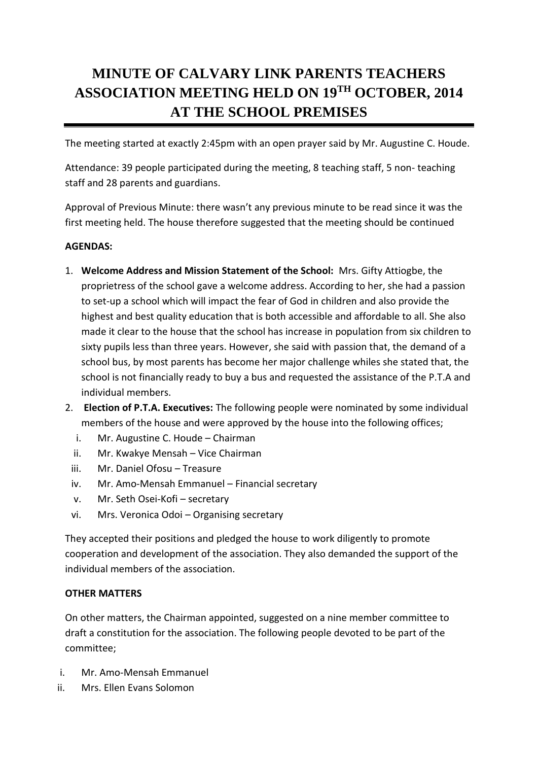## **MINUTE OF CALVARY LINK PARENTS TEACHERS ASSOCIATION MEETING HELD ON 19TH OCTOBER, 2014 AT THE SCHOOL PREMISES**

The meeting started at exactly 2:45pm with an open prayer said by Mr. Augustine C. Houde.

Attendance: 39 people participated during the meeting, 8 teaching staff, 5 non- teaching staff and 28 parents and guardians.

Approval of Previous Minute: there wasn't any previous minute to be read since it was the first meeting held. The house therefore suggested that the meeting should be continued

## **AGENDAS:**

- 1. **Welcome Address and Mission Statement of the School:** Mrs. Gifty Attiogbe, the proprietress of the school gave a welcome address. According to her, she had a passion to set-up a school which will impact the fear of God in children and also provide the highest and best quality education that is both accessible and affordable to all. She also made it clear to the house that the school has increase in population from six children to sixty pupils less than three years. However, she said with passion that, the demand of a school bus, by most parents has become her major challenge whiles she stated that, the school is not financially ready to buy a bus and requested the assistance of the P.T.A and individual members.
- 2. **Election of P.T.A. Executives:** The following people were nominated by some individual members of the house and were approved by the house into the following offices;
	- i. Mr. Augustine C. Houde Chairman
	- ii. Mr. Kwakye Mensah Vice Chairman
	- iii. Mr. Daniel Ofosu Treasure
	- iv. Mr. Amo-Mensah Emmanuel Financial secretary
	- v. Mr. Seth Osei-Kofi secretary
	- vi. Mrs. Veronica Odoi Organising secretary

They accepted their positions and pledged the house to work diligently to promote cooperation and development of the association. They also demanded the support of the individual members of the association.

## **OTHER MATTERS**

On other matters, the Chairman appointed, suggested on a nine member committee to draft a constitution for the association. The following people devoted to be part of the committee;

- i. Mr. Amo-Mensah Emmanuel
- ii. Mrs. Ellen Evans Solomon